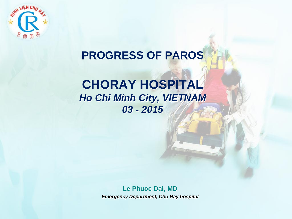

### **PROGRESS OF PAROS**

### **CHORAY HOSPITAL** *Ho Chi Minh City, VIETNAM 03 - 2015*

**Le Phuoc Dai, MD** *Emergency Department, Cho Ray hospital*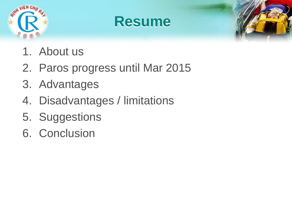





- 1. About us
- 2. Paros progress until Mar 2015
- 3. Advantages
- 4. Disadvantages / limitations
- 5. Suggestions
- 6. Conclusion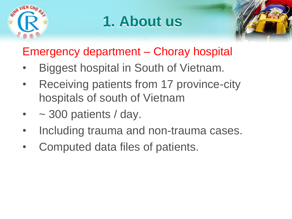

# **1. About us**



### Emergency department – Choray hospital

- Biggest hospital in South of Vietnam.
- Receiving patients from 17 province-city hospitals of south of Vietnam
- $\sim$  300 patients / day.
- Including trauma and non-trauma cases.
- Computed data files of patients.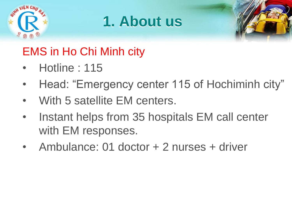

## **1. About us**



### EMS in Ho Chi Minh city

- Hotline : 115
- Head: "Emergency center 115 of Hochiminh city"
- With 5 satellite EM centers.
- Instant helps from 35 hospitals EM call center with EM responses.
- Ambulance: 01 doctor + 2 nurses + driver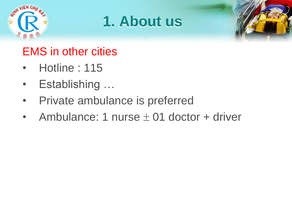





### EMS in other cities

- Hotline : 115
- Establishing …
- Private ambulance is preferred
- Ambulance: 1 nurse  $\pm$  01 doctor + driver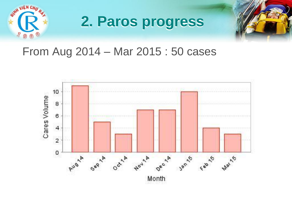

# **2. Paros progress**



### From Aug 2014 – Mar 2015 : 50 cases

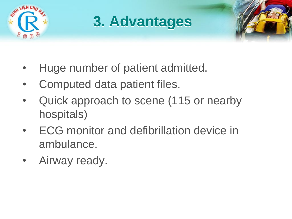

# **3. Advantages**



- Huge number of patient admitted.
- Computed data patient files.
- Quick approach to scene (115 or nearby hospitals)
- ECG monitor and defibrillation device in ambulance.
- Airway ready.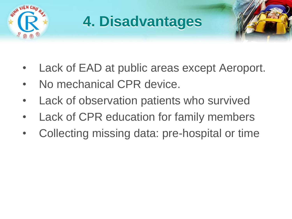

# **4. Disadvantages**

- 
- Lack of EAD at public areas except Aeroport.
- No mechanical CPR device.
- Lack of observation patients who survived
- Lack of CPR education for family members
- Collecting missing data: pre-hospital or time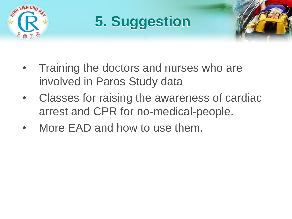

# **5. Suggestion**



- Training the doctors and nurses who are involved in Paros Study data
- Classes for raising the awareness of cardiac arrest and CPR for no-medical-people.
- More EAD and how to use them.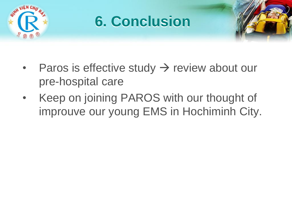

### **6. Conclusion**



- Paros is effective study  $\rightarrow$  review about our pre-hospital care
- Keep on joining PAROS with our thought of improuve our young EMS in Hochiminh City.